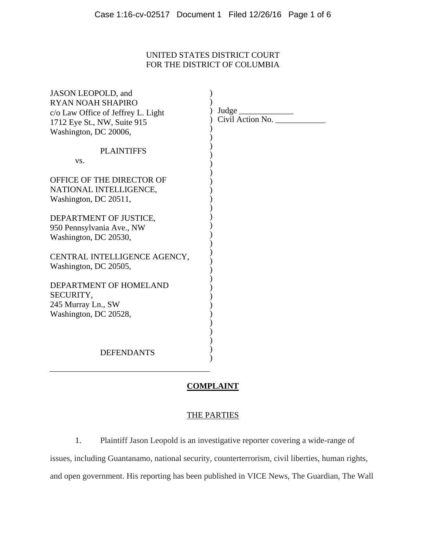## UNITED STATES DISTRICT COURT FOR THE DISTRICT OF COLUMBIA

| JASON LEOPOLD, and<br>RYAN NOAH SHAPIRO<br>c/o Law Office of Jeffrey L. Light<br>1712 Eye St., NW, Suite 915<br>Washington, DC 20006, | $Civil$ Action No. $\overline{\phantom{a}}$ |
|---------------------------------------------------------------------------------------------------------------------------------------|---------------------------------------------|
| <b>PLAINTIFFS</b><br>VS.                                                                                                              |                                             |
| OFFICE OF THE DIRECTOR OF<br>NATIONAL INTELLIGENCE,<br>Washington, DC 20511,                                                          |                                             |
| DEPARTMENT OF JUSTICE,<br>950 Pennsylvania Ave., NW<br>Washington, DC 20530,                                                          |                                             |
| CENTRAL INTELLIGENCE AGENCY,<br>Washington, DC 20505,                                                                                 |                                             |
| DEPARTMENT OF HOMELAND<br>SECURITY,<br>245 Murray Ln., SW<br>Washington, DC 20528,                                                    |                                             |
| <b>DEFENDANTS</b>                                                                                                                     |                                             |

### **COMPLAINT**

## THE PARTIES

1. Plaintiff Jason Leopold is an investigative reporter covering a wide-range of

issues, including Guantanamo, national security, counterterrorism, civil liberties, human rights, and open government. His reporting has been published in VICE News, The Guardian, The Wall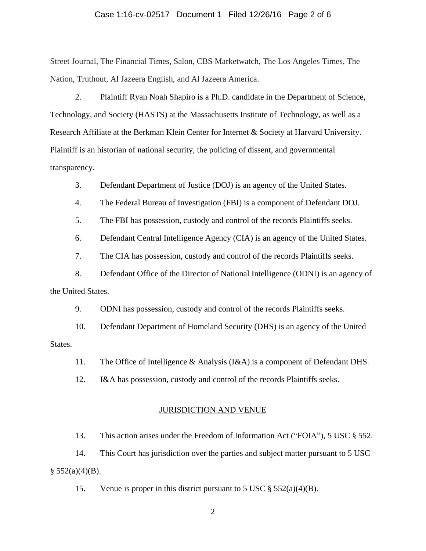#### Case 1:16-cv-02517 Document 1 Filed 12/26/16 Page 2 of 6

Street Journal, The Financial Times, Salon, CBS Marketwatch, The Los Angeles Times, The Nation, Truthout, Al Jazeera English, and Al Jazeera America.

2. Plaintiff Ryan Noah Shapiro is a Ph.D. candidate in the Department of Science, Technology, and Society (HASTS) at the Massachusetts Institute of Technology, as well as a Research Affiliate at the Berkman Klein Center for Internet & Society at Harvard University. Plaintiff is an historian of national security, the policing of dissent, and governmental transparency.

3. Defendant Department of Justice (DOJ) is an agency of the United States.

4. The Federal Bureau of Investigation (FBI) is a component of Defendant DOJ.

5. The FBI has possession, custody and control of the records Plaintiffs seeks.

6. Defendant Central Intelligence Agency (CIA) is an agency of the United States.

7. The CIA has possession, custody and control of the records Plaintiffs seeks.

8. Defendant Office of the Director of National Intelligence (ODNI) is an agency of the United States.

9. ODNI has possession, custody and control of the records Plaintiffs seeks.

10. Defendant Department of Homeland Security (DHS) is an agency of the United States.

11. The Office of Intelligence & Analysis (I&A) is a component of Defendant DHS.

12. I&A has possession, custody and control of the records Plaintiffs seeks.

#### JURISDICTION AND VENUE

13. This action arises under the Freedom of Information Act ("FOIA"), 5 USC § 552.

14. This Court has jurisdiction over the parties and subject matter pursuant to 5 USC  $§ 552(a)(4)(B).$ 

15. Venue is proper in this district pursuant to 5 USC  $\S 552(a)(4)(B)$ .

2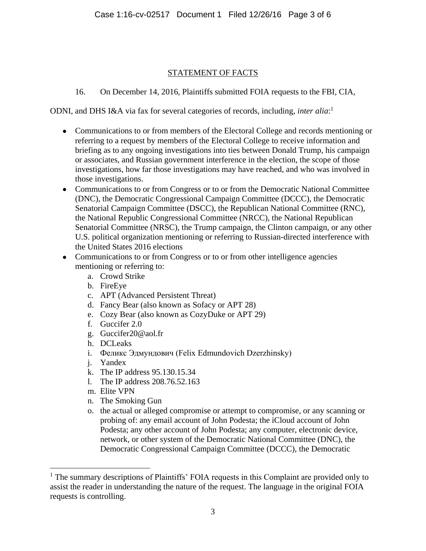## STATEMENT OF FACTS

# 16. On December 14, 2016, Plaintiffs submitted FOIA requests to the FBI, CIA,

ODNI, and DHS I&A via fax for several categories of records, including, *inter alia*: 1

- Communications to or from members of the Electoral College and records mentioning or referring to a request by members of the Electoral College to receive information and briefing as to any ongoing investigations into ties between Donald Trump, his campaign or associates, and Russian government interference in the election, the scope of those investigations, how far those investigations may have reached, and who was involved in those investigations.
- Communications to or from Congress or to or from the Democratic National Committee (DNC), the Democratic Congressional Campaign Committee (DCCC), the Democratic Senatorial Campaign Committee (DSCC), the Republican National Committee (RNC), the National Republic Congressional Committee (NRCC), the National Republican Senatorial Committee (NRSC), the Trump campaign, the Clinton campaign, or any other U.S. political organization mentioning or referring to Russian-directed interference with the United States 2016 elections
- Communications to or from Congress or to or from other intelligence agencies mentioning or referring to:
	- a. Crowd Strike
	- b. FireEye
	- c. APT (Advanced Persistent Threat)
	- d. Fancy Bear (also known as Sofacy or APT 28)
	- e. Cozy Bear (also known as CozyDuke or APT 29)
	- f. Guccifer 2.0
	- g. Guccifer20@aol.fr
	- h. DCLeaks
	- i. Феликс Эдмундович (Felix Edmundovich Dzerzhinsky)
	- j. Yandex
	- k. The IP address 95.130.15.34
	- l. The IP address 208.76.52.163
	- m. Elite VPN

 $\overline{a}$ 

- n. The Smoking Gun
- o. the actual or alleged compromise or attempt to compromise, or any scanning or probing of: any email account of John Podesta; the iCloud account of John Podesta; any other account of John Podesta; any computer, electronic device, network, or other system of the Democratic National Committee (DNC), the Democratic Congressional Campaign Committee (DCCC), the Democratic

<sup>&</sup>lt;sup>1</sup> The summary descriptions of Plaintiffs' FOIA requests in this Complaint are provided only to assist the reader in understanding the nature of the request. The language in the original FOIA requests is controlling.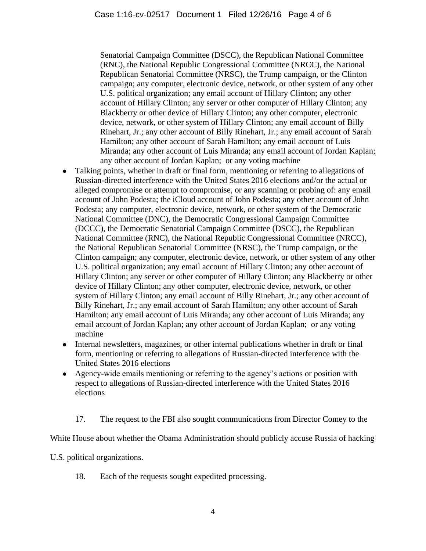Senatorial Campaign Committee (DSCC), the Republican National Committee (RNC), the National Republic Congressional Committee (NRCC), the National Republican Senatorial Committee (NRSC), the Trump campaign, or the Clinton campaign; any computer, electronic device, network, or other system of any other U.S. political organization; any email account of Hillary Clinton; any other account of Hillary Clinton; any server or other computer of Hillary Clinton; any Blackberry or other device of Hillary Clinton; any other computer, electronic device, network, or other system of Hillary Clinton; any email account of Billy Rinehart, Jr.; any other account of Billy Rinehart, Jr.; any email account of Sarah Hamilton; any other account of Sarah Hamilton; any email account of Luis Miranda; any other account of Luis Miranda; any email account of Jordan Kaplan; any other account of Jordan Kaplan; or any voting machine

- Talking points, whether in draft or final form, mentioning or referring to allegations of Russian-directed interference with the United States 2016 elections and/or the actual or alleged compromise or attempt to compromise, or any scanning or probing of: any email account of John Podesta; the iCloud account of John Podesta; any other account of John Podesta; any computer, electronic device, network, or other system of the Democratic National Committee (DNC), the Democratic Congressional Campaign Committee (DCCC), the Democratic Senatorial Campaign Committee (DSCC), the Republican National Committee (RNC), the National Republic Congressional Committee (NRCC), the National Republican Senatorial Committee (NRSC), the Trump campaign, or the Clinton campaign; any computer, electronic device, network, or other system of any other U.S. political organization; any email account of Hillary Clinton; any other account of Hillary Clinton; any server or other computer of Hillary Clinton; any Blackberry or other device of Hillary Clinton; any other computer, electronic device, network, or other system of Hillary Clinton; any email account of Billy Rinehart, Jr.; any other account of Billy Rinehart, Jr.; any email account of Sarah Hamilton; any other account of Sarah Hamilton; any email account of Luis Miranda; any other account of Luis Miranda; any email account of Jordan Kaplan; any other account of Jordan Kaplan; or any voting machine
- Internal newsletters, magazines, or other internal publications whether in draft or final form, mentioning or referring to allegations of Russian-directed interference with the United States 2016 elections
- Agency-wide emails mentioning or referring to the agency's actions or position with respect to allegations of Russian-directed interference with the United States 2016 elections
	- 17. The request to the FBI also sought communications from Director Comey to the

White House about whether the Obama Administration should publicly accuse Russia of hacking

U.S. political organizations.

18. Each of the requests sought expedited processing.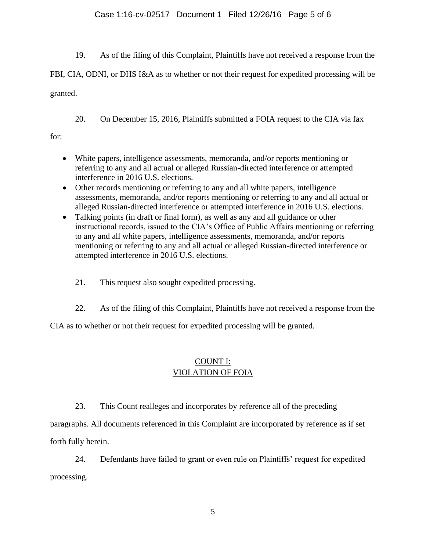### Case 1:16-cv-02517 Document 1 Filed 12/26/16 Page 5 of 6

19. As of the filing of this Complaint, Plaintiffs have not received a response from the

FBI, CIA, ODNI, or DHS I&A as to whether or not their request for expedited processing will be granted.

20. On December 15, 2016, Plaintiffs submitted a FOIA request to the CIA via fax

for:

- White papers, intelligence assessments, memoranda, and/or reports mentioning or referring to any and all actual or alleged Russian-directed interference or attempted interference in 2016 U.S. elections.
- Other records mentioning or referring to any and all white papers, intelligence assessments, memoranda, and/or reports mentioning or referring to any and all actual or alleged Russian-directed interference or attempted interference in 2016 U.S. elections.
- Talking points (in draft or final form), as well as any and all guidance or other instructional records, issued to the CIA's Office of Public Affairs mentioning or referring to any and all white papers, intelligence assessments, memoranda, and/or reports mentioning or referring to any and all actual or alleged Russian-directed interference or attempted interference in 2016 U.S. elections.
	- 21. This request also sought expedited processing.
	- 22. As of the filing of this Complaint, Plaintiffs have not received a response from the

CIA as to whether or not their request for expedited processing will be granted.

# COUNT I: VIOLATION OF FOIA

23. This Count realleges and incorporates by reference all of the preceding

paragraphs. All documents referenced in this Complaint are incorporated by reference as if set forth fully herein.

24. Defendants have failed to grant or even rule on Plaintiffs' request for expedited processing.

5